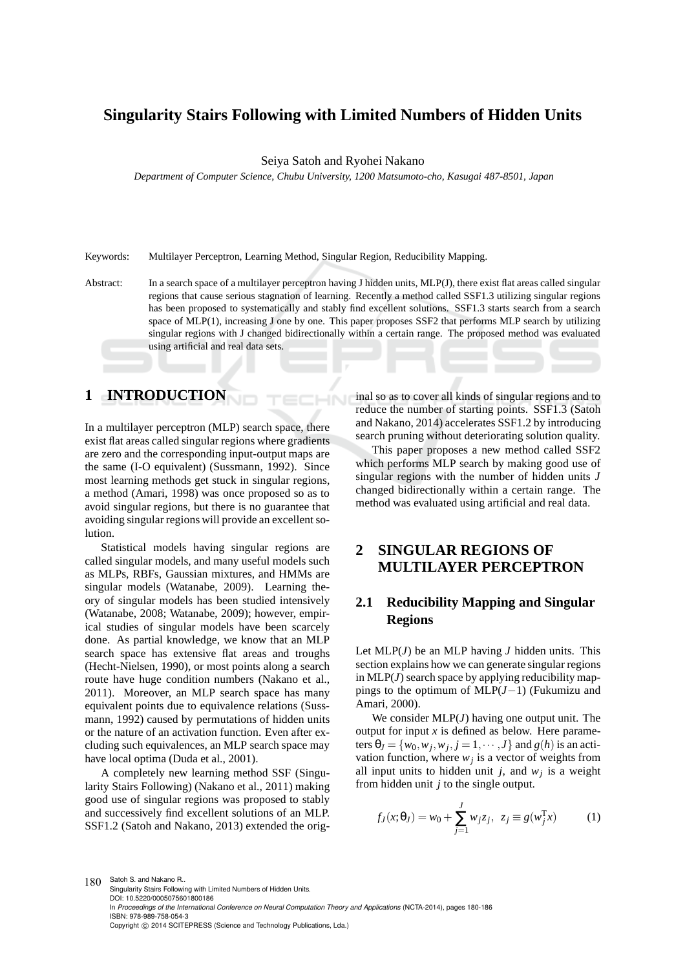# **Singularity Stairs Following with Limited Numbers of Hidden Units**

Seiya Satoh and Ryohei Nakano

*Department of Computer Science, Chubu University, 1200 Matsumoto-cho, Kasugai 487-8501, Japan*

Keywords: Multilayer Perceptron, Learning Method, Singular Region, Reducibility Mapping.

Abstract: In a search space of a multilayer perceptron having J hidden units, MLP(J), there exist flat areas called singular regions that cause serious stagnation of learning. Recently a method called SSF1.3 utilizing singular regions has been proposed to systematically and stably find excellent solutions. SSF1.3 starts search from a search space of MLP(1), increasing J one by one. This paper proposes SSF2 that performs MLP search by utilizing singular regions with J changed bidirectionally within a certain range. The proposed method was evaluated using artificial and real data sets.

**IN** 

## **1 INTRODUCTION**

In a multilayer perceptron (MLP) search space, there exist flat areas called singular regions where gradients are zero and the corresponding input-output maps are the same (I-O equivalent) (Sussmann, 1992). Since most learning methods get stuck in singular regions, a method (Amari, 1998) was once proposed so as to avoid singular regions, but there is no guarantee that avoiding singular regions will provide an excellent solution.

Statistical models having singular regions are called singular models, and many useful models such as MLPs, RBFs, Gaussian mixtures, and HMMs are singular models (Watanabe, 2009). Learning theory of singular models has been studied intensively (Watanabe, 2008; Watanabe, 2009); however, empirical studies of singular models have been scarcely done. As partial knowledge, we know that an MLP search space has extensive flat areas and troughs (Hecht-Nielsen, 1990), or most points along a search route have huge condition numbers (Nakano et al., 2011). Moreover, an MLP search space has many equivalent points due to equivalence relations (Sussmann, 1992) caused by permutations of hidden units or the nature of an activation function. Even after excluding such equivalences, an MLP search space may have local optima (Duda et al., 2001).

A completely new learning method SSF (Singularity Stairs Following) (Nakano et al., 2011) making good use of singular regions was proposed to stably and successively find excellent solutions of an MLP. SSF1.2 (Satoh and Nakano, 2013) extended the original so as to cover all kinds of singular regions and to reduce the number of starting points. SSF1.3 (Satoh and Nakano, 2014) accelerates SSF1.2 by introducing search pruning without deteriorating solution quality.

This paper proposes a new method called SSF2 which performs MLP search by making good use of singular regions with the number of hidden units *J* changed bidirectionally within a certain range. The method was evaluated using artificial and real data.

# **2 SINGULAR REGIONS OF MULTILAYER PERCEPTRON**

# **2.1 Reducibility Mapping and Singular Regions**

Let MLP(*J*) be an MLP having *J* hidden units. This section explains how we can generate singular regions in MLP(*J*) search space by applying reducibility mappings to the optimum of MLP(*J*−1) (Fukumizu and Amari, 2000).

We consider MLP(*J*) having one output unit. The output for input  $x$  is defined as below. Here parameters  $\theta_J = \{w_0, w_j, w_j, j = 1, \dots, J\}$  and  $g(h)$  is an activation function, where  $w_j$  is a vector of weights from all input units to hidden unit *j*, and  $w_j$  is a weight from hidden unit *j* to the single output.

$$
f_J(x; \theta_J) = w_0 + \sum_{j=1}^{J} w_j z_j, \ z_j \equiv g(w_j^T x)
$$
 (1)

180 Satoh S. and Nakano R.. Singularity Stairs Following with Limited Numbers of Hidden Units. DOI: 10.5220/0005075601800186 In *Proceedings of the International Conference on Neural Computation Theory and Applications* (NCTA-2014), pages 180-186 ISBN: 978-989-758-054-3 Copyright © 2014 SCITEPRESS (Science and Technology Publications, Lda.)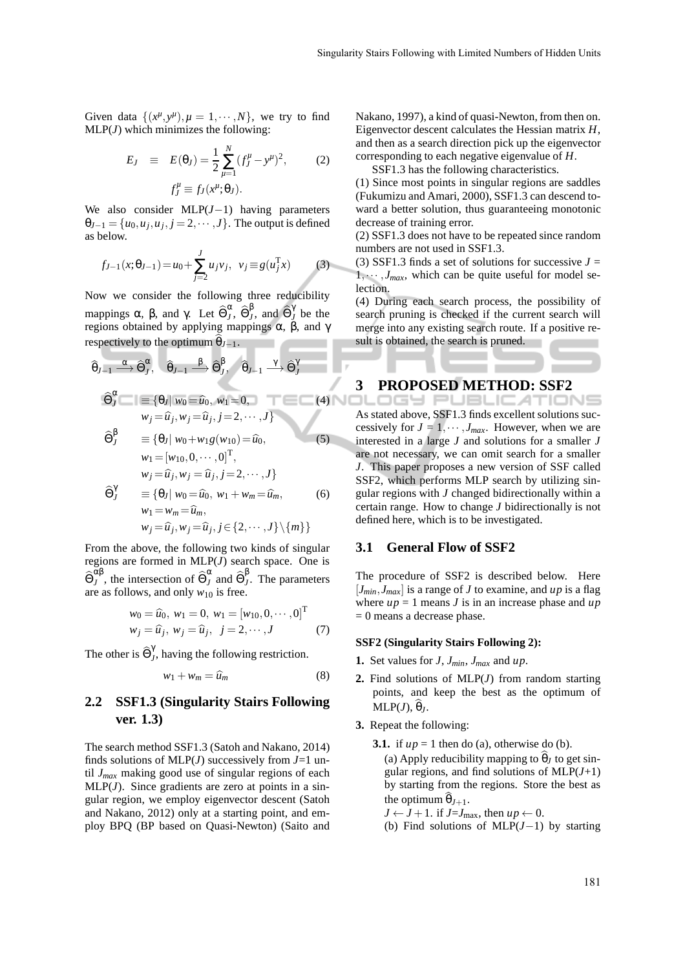Given data  $\{(x^{\mu}, y^{\mu}), \mu = 1, \cdots, N\}$ , we try to find MLP(*J*) which minimizes the following:

$$
E_J \equiv E(\theta_J) = \frac{1}{2} \sum_{\mu=1}^{N} (f_J^{\mu} - y^{\mu})^2, \qquad (2)
$$

$$
f_J^{\mu} \equiv f_J(x^{\mu}; \theta_J).
$$

We also consider MLP(*J*−1) having parameters  $\theta_{J-1} = \{u_0, u_j, u_j, j = 2, \cdots, J\}$ . The output is defined as below.

$$
f_{J-1}(x; \theta_{J-1}) = u_0 + \sum_{j=2}^{J} u_j v_j, \ \ v_j \equiv g(u_j^{\mathrm{T}} x)
$$
 (3)

Now we consider the following three reducibility mappings  $\alpha$ ,  $\beta$ , and  $\gamma$ . Let  $\widehat{\Theta}_{J}^{\alpha}$  $_{J}^{\alpha},\, \widehat{\Theta}_{J}^{\beta}$  $\hat{\theta}_J^{\dagger}$ , and  $\widehat{\Theta}_J^{\dagger}$  $\int$ <sup> $\int$ </sup> be the regions obtained by applying mappings  $\alpha$ ,  $\beta$ , and γ respectively to the optimum  $\theta_{J-1}$ .

$$
\widehat{\theta}_{J-1} \xrightarrow{\alpha} \widehat{\Theta}_{J}^{\alpha}, \quad \widehat{\theta}_{J-1} \xrightarrow{\beta} \widehat{\Theta}_{J}^{\beta}, \quad \widehat{\theta}_{J-1} \xrightarrow{\gamma} \widehat{\Theta}_{J}^{\gamma}
$$
\n
$$
\widehat{\Theta}_{J}^{\alpha} = \{\theta_{J} | w_{0} = \widehat{u}_{0}, w_{1} = 0, \qquad (4)
$$
\n
$$
w_{j} = \widehat{u}_{j}, w_{j} = \widehat{u}_{j}, j = 2, \cdots, J\}
$$
\n
$$
\widehat{\Theta}_{J}^{\beta} = \{\theta_{J} | w_{0} + w_{1}g(w_{10}) = \widehat{u}_{0}, \qquad (5)
$$
\n
$$
w_{1} = [w_{10}, 0, \cdots, 0]^{T},
$$
\n
$$
w_{j} = \widehat{u}_{j}, w_{j} = \widehat{u}_{j}, j = 2, \cdots, J\}
$$
\n
$$
\widehat{\Theta}_{J}^{\gamma} = \{\theta_{J} | w_{0} = \widehat{u}_{0}, w_{1} + w_{m} = \widehat{u}_{m}, \qquad (6)
$$
\n
$$
w_{1} = w_{m} = \widehat{u}_{m},
$$

 $w_j = \hat{u}_j, w_j = \hat{u}_j, j \in \{2, \dots, J\} \setminus \{m\}$ 

From the above, the following two kinds of singular regions are formed in MLP(*J*) search space. One is  $\widehat{\Theta}_J^{\alpha\beta}$  $\alpha\beta$ , the intersection of  $\widehat{\Theta}_J^{\alpha}$  $\int\limits_J^\alpha$  and  $\widehat{\Theta}_J^{\beta}$ *J* . The parameters are as follows, and only  $w_{10}$  is free.

$$
w_0 = \widehat{u}_0, w_1 = 0, w_1 = [w_{10}, 0, \cdots, 0]^T
$$
  

$$
w_j = \widehat{u}_j, w_j = \widehat{u}_j, j = 2, \cdots, J
$$
 (7)

The other is  $\widehat{\Theta}_{J}^{\gamma}$ *J* , having the following restriction.

$$
w_1 + w_m = \widehat{u}_m \tag{8}
$$

## **2.2 SSF1.3 (Singularity Stairs Following ver. 1.3)**

The search method SSF1.3 (Satoh and Nakano, 2014) finds solutions of MLP(*J*) successively from *J*=1 until *Jmax* making good use of singular regions of each  $MLP(J)$ . Since gradients are zero at points in a singular region, we employ eigenvector descent (Satoh and Nakano, 2012) only at a starting point, and employ BPQ (BP based on Quasi-Newton) (Saito and Nakano, 1997), a kind of quasi-Newton, from then on. Eigenvector descent calculates the Hessian matrix *H*, and then as a search direction pick up the eigenvector corresponding to each negative eigenvalue of *H*.

SSF1.3 has the following characteristics.

(1) Since most points in singular regions are saddles (Fukumizu and Amari, 2000), SSF1.3 can descend toward a better solution, thus guaranteeing monotonic decrease of training error.

(2) SSF1.3 does not have to be repeated since random numbers are not used in SSF1.3.

(3) SSF1.3 finds a set of solutions for successive  $J =$  $1, \dots, J_{max}$ , which can be quite useful for model selection.

(4) During each search process, the possibility of search pruning is checked if the current search will merge into any existing search route. If a positive result is obtained, the search is pruned.

# **3 PROPOSED METHOD: SSF2**

As stated above, SSF1.3 finds excellent solutions successively for  $J = 1, \dots, J_{max}$ . However, when we are interested in a large *J* and solutions for a smaller *J* are not necessary, we can omit search for a smaller *J*. This paper proposes a new version of SSF called SSF2, which performs MLP search by utilizing singular regions with *J* changed bidirectionally within a certain range. How to change *J* bidirectionally is not defined here, which is to be investigated.

#### **3.1 General Flow of SSF2**

The procedure of SSF2 is described below. Here  $[J<sub>min</sub>, J<sub>max</sub>]$  is a range of *J* to examine, and *up* is a flag where  $up = 1$  means *J* is in an increase phase and  $up$ = 0 means a decrease phase.

#### **SSF2 (Singularity Stairs Following 2):**

- **1.** Set values for  $J$ ,  $J_{min}$ ,  $J_{max}$  and  $up$ .
- **2.** Find solutions of MLP(*J*) from random starting points, and keep the best as the optimum of  $MLP(J), \theta<sub>I</sub>$ .
- **3.** Repeat the following:
	- **3.1.** if  $up = 1$  then do (a), otherwise do (b). (a) Apply reducibility mapping to  $\hat{\theta}_I$  to get singular regions, and find solutions of  $MLP(J+1)$ by starting from the regions. Store the best as the optimum  $\hat{\theta}_{J+1}$ .

 $J \leftarrow J + 1$ . if  $J = J_{\text{max}}$ , then  $up \leftarrow 0$ .

(b) Find solutions of MLP(*J*−1) by starting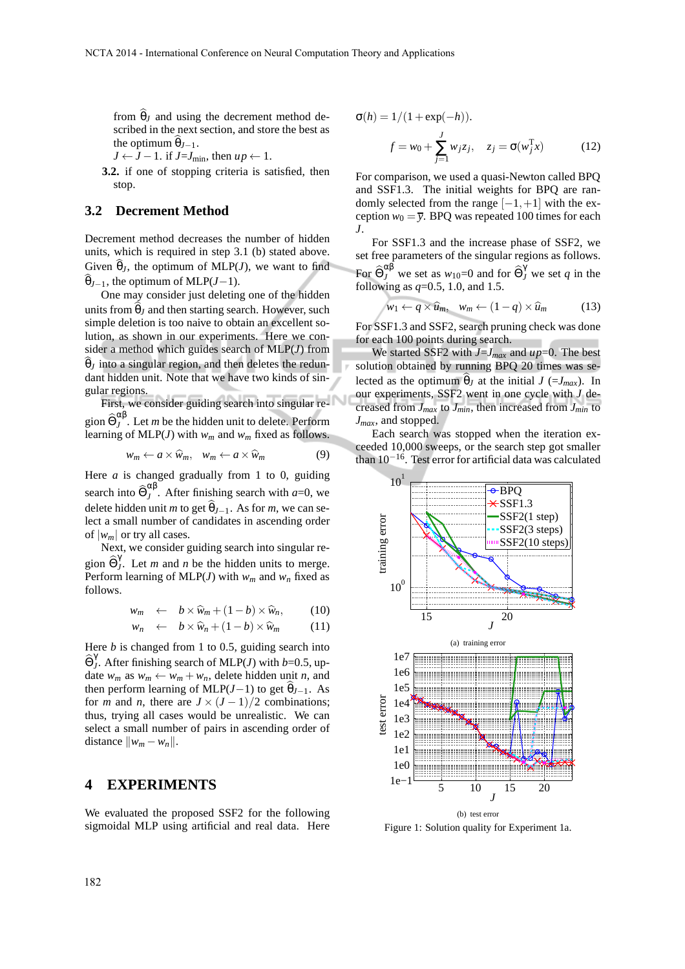from  $\theta$ <sub>*I*</sub> and using the decrement method described in the next section, and store the best as the optimum  $\theta_{J-1}$ .

 $J \leftarrow J - 1$ . if  $J = J_{\text{min}}$ , then  $up \leftarrow 1$ .

**3.2.** if one of stopping criteria is satisfied, then stop.

#### **3.2 Decrement Method**

Decrement method decreases the number of hidden units, which is required in step 3.1 (b) stated above. Given  $\theta_J$ , the optimum of MLP(*J*), we want to find  $\widehat{\theta}_{J-1}$ , the optimum of MLP(*J*−1).

One may consider just deleting one of the hidden units from  $\hat{\theta}$ *l* and then starting search. However, such simple deletion is too naive to obtain an excellent solution, as shown in our experiments. Here we consider a method which guides search of MLP(*J*) from  $\theta$ <sub>*I*</sub> into a singular region, and then deletes the redundant hidden unit. Note that we have two kinds of singular regions.

First, we consider guiding search into singular region  $\widehat{\Theta}_J^{\alpha\beta}$  $J<sup>T</sup>$ . Let *m* be the hidden unit to delete. Perform learning of MLP(*J*) with *w<sup>m</sup>* and *w<sup>m</sup>* fixed as follows.

$$
w_m \leftarrow a \times \widehat{w}_m, \quad w_m \leftarrow a \times \widehat{w}_m \tag{9}
$$

Here *a* is changed gradually from 1 to 0, guiding search into  $\widehat{\Theta}_{J}^{\alpha\beta}$  $J^{\text{up}}$ . After finishing search with *a*=0, we delete hidden unit *m* to get  $\widehat{\theta}_{J-1}$ . As for *m*, we can select a small number of candidates in ascending order of  $|w_m|$  or try all cases.

Next, we consider guiding search into singular region  $\widehat{\Theta}_J^\gamma$ *J* . Let *m* and *n* be the hidden units to merge. Perform learning of MLP(*J*) with  $w_m$  and  $w_n$  fixed as follows.

$$
w_m \leftarrow b \times \widehat{w}_m + (1 - b) \times \widehat{w}_n, \qquad (10)
$$

$$
w_n \leftarrow b \times \widehat{w}_n + (1 - b) \times \widehat{w}_m \tag{11}
$$

Here *b* is changed from 1 to 0.5, guiding search into  $\widehat{\Theta}^{\gamma}_J$ *J* . After finishing search of MLP(*J*) with *b*=0.5, update  $w_m$  as  $w_m \leftarrow w_m + w_n$ , delete hidden unit *n*, and then perform learning of MLP(*J*−1) to get  $\hat{\theta}_{J-1}$ . As for *m* and *n*, there are  $J \times (J - 1)/2$  combinations; thus, trying all cases would be unrealistic. We can select a small number of pairs in ascending order of distance  $\|w_m - w_n\|.$ 

## **4 EXPERIMENTS**

We evaluated the proposed SSF2 for the following sigmoidal MLP using artificial and real data. Here

$$
\sigma(h) = 1/(1 + \exp(-h)).
$$
  

$$
f = w_0 + \sum_{j=1}^{J} w_j z_j, \quad z_j = \sigma(w_j^{\mathrm{T}} x)
$$
(12)

For comparison, we used a quasi-Newton called BPQ and SSF1.3. The initial weights for BPQ are randomly selected from the range  $[-1, +1]$  with the exception  $w_0 = \overline{y}$ . BPQ was repeated 100 times for each *J*.

For SSF1.3 and the increase phase of SSF2, we set free parameters of the singular regions as follows. For  $\widehat{\Theta}_{J}^{\alpha\beta}$  we set as  $w_{10}$ =0 and for  $\widehat{\Theta}_{J}^{\gamma}$  we set *q* in the following as *q*=0.5, 1.0, and 1.5.

$$
w_1 \leftarrow q \times \widehat{u}_m, \quad w_m \leftarrow (1-q) \times \widehat{u}_m \tag{13}
$$

For SSF1.3 and SSF2, search pruning check was done for each 100 points during search.

We started SSF2 with  $J = J_{max}$  and  $up = 0$ . The best solution obtained by running BPQ 20 times was selected as the optimum  $\theta_J$  at the initial  $J$  (= $J_{max}$ ). In our experiments, SSF2 went in one cycle with *J* decreased from *Jmax* to *Jmin*, then increased from *Jmin* to *Jmax*, and stopped.

Each search was stopped when the iteration exceeded 10,000 sweeps, or the search step got smaller than  $10^{-16}$ . Test error for artificial data was calculated



Figure 1: Solution quality for Experiment 1a.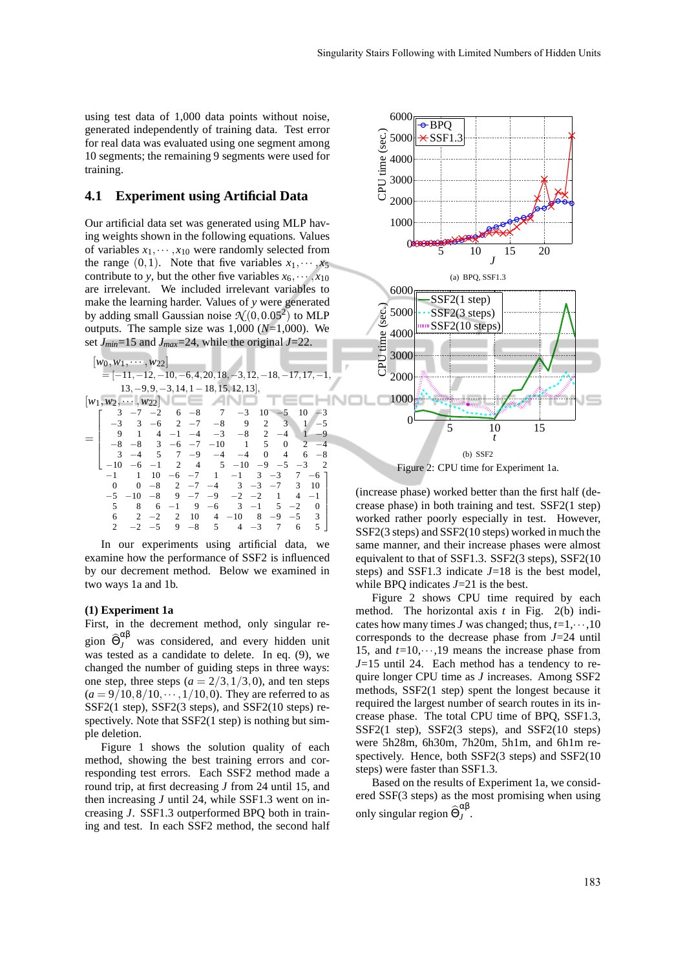using test data of 1,000 data points without noise, generated independently of training data. Test error for real data was evaluated using one segment among 10 segments; the remaining 9 segments were used for training.

#### **4.1 Experiment using Artificial Data**

Our artificial data set was generated using MLP having weights shown in the following equations. Values of variables  $x_1, \dots, x_{10}$  were randomly selected from the range  $(0,1)$ . Note that five variables  $x_1, \dots, x_5$ contribute to *y*, but the other five variables  $x_6, \dots, x_{10}$ are irrelevant. We included irrelevant variables to make the learning harder. Values of *y* were generated by adding small Gaussian noise  $\mathcal{N}(0, 0.05^2)$  to MLP outputs. The sample size was 1,000 (*N*=1,000). We set *Jmin*=15 and *Jmax*=24, while the original *J*=22.

| $ w_0, w_1, \cdots, w_{22} $            |                         |           |                |      |                |                                                             |                |          |                |                |      |
|-----------------------------------------|-------------------------|-----------|----------------|------|----------------|-------------------------------------------------------------|----------------|----------|----------------|----------------|------|
|                                         |                         |           |                |      |                | $=[-11, -12, -10, -6, 4, 20, 18, -3, 12, -18, -17, 17, -1,$ |                |          |                |                |      |
| $13, -9, 9, -3, 14, 1 - 18, 15, 12, 13$ |                         |           |                |      |                |                                                             |                |          |                |                |      |
| $ w_1, w_2, \cdots, w_{22} $            |                         |           |                |      |                |                                                             |                |          |                |                |      |
|                                         | 3                       | $-7$      | $-2$           |      |                | $6 - 8$ 7                                                   | $-3$           | 10       | $-5$           | 10             | $-3$ |
|                                         |                         | 3         | -6             |      |                | $2 -7 -8$                                                   | 9              |          | 3<br>2         | $\mathbf{1}$   | $-5$ |
|                                         |                         |           |                |      |                | $4 -1 -4 -3 -8$                                             |                |          | 2 $-4$         |                | $-9$ |
|                                         |                         | $-8$ $-8$ |                |      |                | $3 -6 -7 -10$ 1                                             |                | 5        | 0              | $\overline{2}$ | $-4$ |
|                                         | $\overline{\mathbf{3}}$ | $-4$      | $\overline{5}$ |      |                | $7 -9 -4 -4$                                                |                | $\Omega$ | $\overline{4}$ | 6              | $-8$ |
|                                         | $-10$                   | $-6$      |                |      |                | $-1$ 2 4 5 $-10$ $-9$ $-5$ $-3$                             |                |          |                |                | -2   |
|                                         | $-1$                    | 1         | 10             |      |                | $-6$ $-7$ 1                                                 | $-1$           |          | $3 - 3$        | 7              | $-6$ |
|                                         | 0                       | $\Omega$  | -8             |      |                | $2$ $-7$ $-4$ $3$ $-3$ $-7$                                 |                |          |                | 3              | 10   |
|                                         | $-5$                    | $-10^{-}$ | $-8$           |      |                | $9 -7 -9 -2 -2$                                             |                |          | 1              | 4              | $-1$ |
|                                         | 5                       | 8         | 6              | $-1$ | $\overline{9}$ | $-6$ 3                                                      |                | $-1$     | 5              | $-2$           | 0    |
|                                         | 6                       | 2         | $-2$           | 2    | 10             |                                                             | $4 - 10 8$     |          | $-9$           | $-5$           | - 3  |
|                                         |                         | $-2$      | $-5$           | 9    | $-8$ 5         |                                                             | $\overline{4}$ | $-3$     | 7              | 6              | 5    |

In our experiments using artificial data, we examine how the performance of SSF2 is influenced by our decrement method. Below we examined in two ways 1a and 1b.

#### **(1) Experiment 1a**

First, in the decrement method, only singular region  $\widehat{\Theta}_{J}^{\alpha\beta}$  was considered, and every hidden unit was tested as a candidate to delete. In eq. (9), we changed the number of guiding steps in three ways: one step, three steps  $(a = 2/3, 1/3, 0)$ , and ten steps  $(a = 9/10, 8/10, \dots, 1/10, 0)$ . They are referred to as SSF2(1 step), SSF2(3 steps), and SSF2(10 steps) respectively. Note that SSF2(1 step) is nothing but simple deletion.

Figure 1 shows the solution quality of each method, showing the best training errors and corresponding test errors. Each SSF2 method made a round trip, at first decreasing *J* from 24 until 15, and then increasing *J* until 24, while SSF1.3 went on increasing *J*. SSF1.3 outperformed BPQ both in training and test. In each SSF2 method, the second half



Figure 2: CPU time for Experiment 1a.

(increase phase) worked better than the first half (decrease phase) in both training and test. SSF2(1 step) worked rather poorly especially in test. However, SSF2(3 steps) and SSF2(10 steps) worked in much the same manner, and their increase phases were almost equivalent to that of SSF1.3. SSF2(3 steps), SSF2(10 steps) and SSF1.3 indicate  $J=18$  is the best model, while BPQ indicates *J*=21 is the best.

Figure 2 shows CPU time required by each method. The horizontal axis *t* in Fig. 2(b) indicates how many times *J* was changed; thus, *t*=1,···,10 corresponds to the decrease phase from *J*=24 until 15, and  $t=10,\dots,19$  means the increase phase from *J*=15 until 24. Each method has a tendency to require longer CPU time as *J* increases. Among SSF2 methods, SSF2(1 step) spent the longest because it required the largest number of search routes in its increase phase. The total CPU time of BPQ, SSF1.3, SSF2(1 step), SSF2(3 steps), and SSF2(10 steps) were 5h28m, 6h30m, 7h20m, 5h1m, and 6h1m respectively. Hence, both SSF2(3 steps) and SSF2(10 steps) were faster than SSF1.3.

Based on the results of Experiment 1a, we considered SSF(3 steps) as the most promising when using only singular region  $\widehat{\Theta}_J^{\alpha\beta}$ *J* .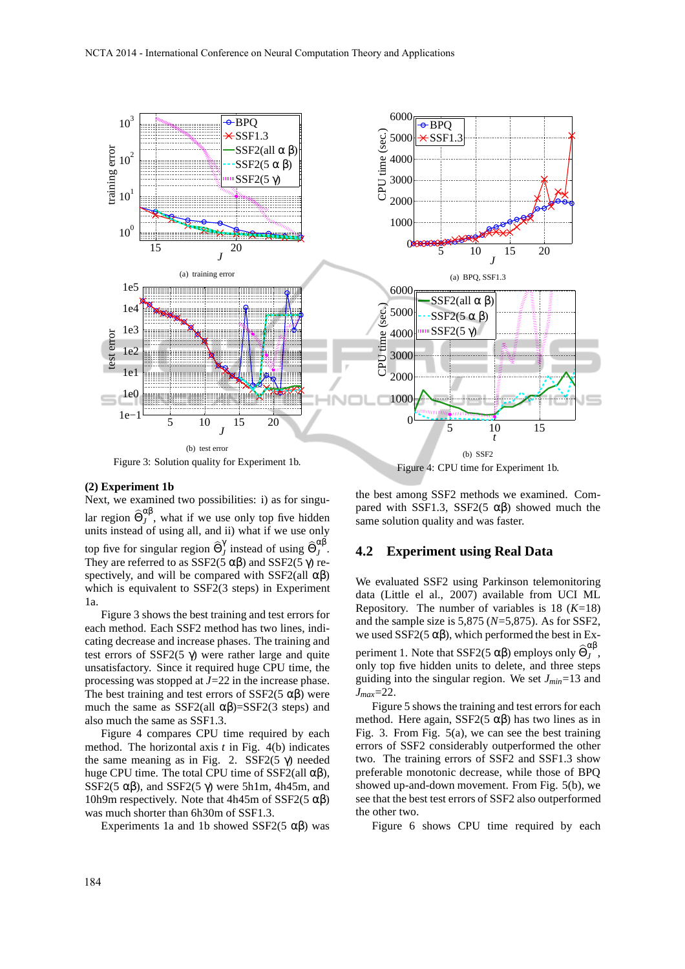

#### **(2) Experiment 1b**

Next, we examined two possibilities: i) as for singular region  $\widehat{\Theta}_J^{\alpha\beta}$  $J$ , what if we use only top five hidden units instead of using all, and ii) what if we use only top five for singular region  $\widehat{\Theta}_{J}^{\gamma}$  $\int_J^{\gamma}$  instead of using  $\widehat{\Theta}_J^{\alpha\beta}$ *J* . They are referred to as  $SSE2(5 \alpha \beta)$  and  $SSE2(5 \gamma)$  respectively, and will be compared with SSF2(all  $\alpha\beta$ ) which is equivalent to SSF2(3 steps) in Experiment 1a.

Figure 3 shows the best training and test errors for each method. Each SSF2 method has two lines, indicating decrease and increase phases. The training and test errors of SSF2(5 γ) were rather large and quite unsatisfactory. Since it required huge CPU time, the processing was stopped at *J*=22 in the increase phase. The best training and test errors of SSF2(5  $\alpha\beta$ ) were much the same as SSF2(all  $\alpha\beta$ )=SSF2(3 steps) and also much the same as SSF1.3.

Figure 4 compares CPU time required by each method. The horizontal axis *t* in Fig. 4(b) indicates the same meaning as in Fig. 2. SSF2(5  $γ$ ) needed huge CPU time. The total CPU time of SSF2(all  $αβ$ ), SSF2(5  $\alpha\beta$ ), and SSF2(5  $\gamma$ ) were 5h1m, 4h45m, and 10h9m respectively. Note that 4h45m of SSF2(5  $\alpha\beta$ ) was much shorter than 6h30m of SSF1.3.

Experiments 1a and 1b showed SSF2(5  $\alpha\beta$ ) was

the best among SSF2 methods we examined. Compared with SSF1.3, SSF2(5  $αβ$ ) showed much the same solution quality and was faster.

#### **4.2 Experiment using Real Data**

We evaluated SSF2 using Parkinson telemonitoring data (Little el al., 2007) available from UCI ML Repository. The number of variables is 18 (*K*=18) and the sample size is 5,875 (*N*=5,875). As for SSF2, we used SSF2(5  $\alpha\beta$ ), which performed the best in Experiment 1. Note that SSF2(5  $\alpha\beta$ ) employs only  $\widehat{\Theta}_J^{\alpha\beta}$ *J* , only top five hidden units to delete, and three steps guiding into the singular region. We set *Jmin*=13 and *Jmax*=22.

Figure 5 shows the training and test errors for each method. Here again, SSF2(5  $\alpha\beta$ ) has two lines as in Fig. 3. From Fig. 5(a), we can see the best training errors of SSF2 considerably outperformed the other two. The training errors of SSF2 and SSF1.3 show preferable monotonic decrease, while those of BPQ showed up-and-down movement. From Fig. 5(b), we see that the best test errors of SSF2 also outperformed the other two.

Figure 6 shows CPU time required by each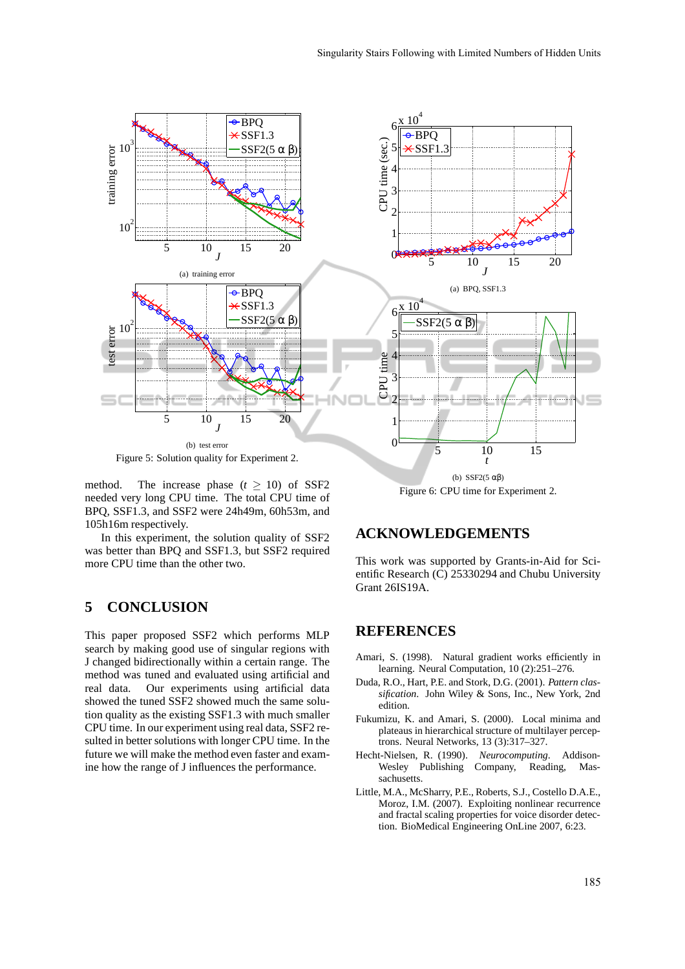

method. The increase phase  $(t \ge 10)$  of SSF2 needed very long CPU time. The total CPU time of BPQ, SSF1.3, and SSF2 were 24h49m, 60h53m, and 105h16m respectively.

In this experiment, the solution quality of SSF2 was better than BPQ and SSF1.3, but SSF2 required more CPU time than the other two.

# **5 CONCLUSION**

This paper proposed SSF2 which performs MLP search by making good use of singular regions with J changed bidirectionally within a certain range. The method was tuned and evaluated using artificial and real data. Our experiments using artificial data showed the tuned SSF2 showed much the same solution quality as the existing SSF1.3 with much smaller CPU time. In our experiment using real data, SSF2 resulted in better solutions with longer CPU time. In the future we will make the method even faster and examine how the range of J influences the performance.

Figure 6: CPU time for Experiment 2.

## **ACKNOWLEDGEMENTS**

This work was supported by Grants-in-Aid for Scientific Research (C) 25330294 and Chubu University Grant 26IS19A.

## **REFERENCES**

- Amari, S. (1998). Natural gradient works efficiently in learning. Neural Computation, 10 (2):251–276.
- Duda, R.O., Hart, P.E. and Stork, D.G. (2001). *Pattern classification*. John Wiley & Sons, Inc., New York, 2nd edition.
- Fukumizu, K. and Amari, S. (2000). Local minima and plateaus in hierarchical structure of multilayer perceptrons. Neural Networks, 13 (3):317–327.
- Hecht-Nielsen, R. (1990). *Neurocomputing*. Addison-Wesley Publishing Company, Reading, Massachusetts.
- Little, M.A., McSharry, P.E., Roberts, S.J., Costello D.A.E., Moroz, I.M. (2007). Exploiting nonlinear recurrence and fractal scaling properties for voice disorder detection. BioMedical Engineering OnLine 2007, 6:23.